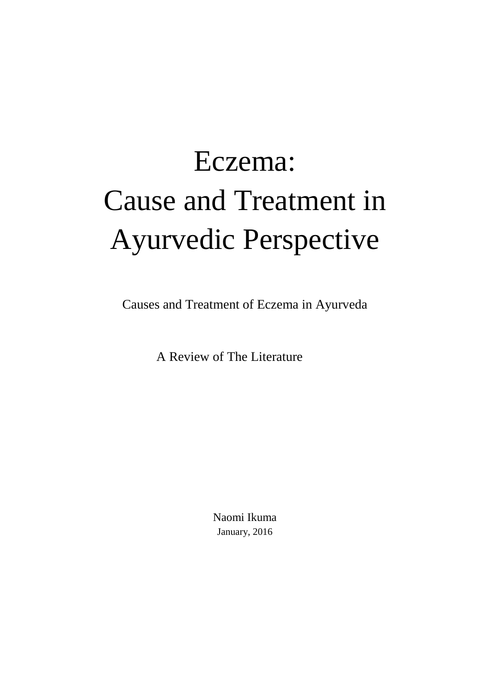# Eczema: Cause and Treatment in Ayurvedic Perspective

Causes and Treatment of Eczema in Ayurveda

A Review of The Literature

Naomi Ikuma January, 2016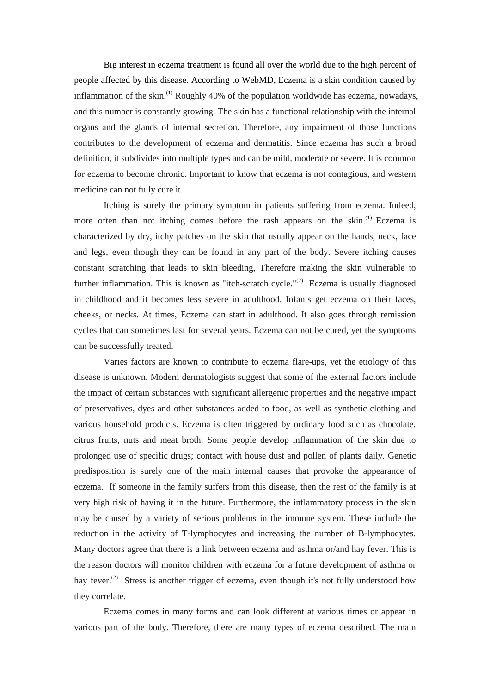Big interest in eczema treatment is found all over the world due to the high percent of people affected by this disease. According to WebMD, Eczema is a skin condition caused by inflammation of the skin.<sup>(1)</sup> Roughly 40% of the population worldwide has eczema, nowadays, and this number is constantly growing. The skin has a functional relationship with the internal organs and the glands of internal secretion. Therefore, any impairment of those functions contributes to the development of eczema and dermatitis. Since eczema has such a broad definition, it subdivides into multiple types and can be mild, moderate or severe. It is common for eczema to become chronic. Important to know that eczema is not contagious, and western medicine can not fully cure it.

Itching is surely the primary symptom in patients suffering from eczema. Indeed, more often than not itching comes before the rash appears on the skin.<sup>(1)</sup> Eczema is characterized by dry, itchy patches on the skin that usually appear on the hands, neck, face and legs, even though they can be found in any part of the body. Severe itching causes constant scratching that leads to skin bleeding, Therefore making the skin vulnerable to further inflammation. This is known as "itch-scratch cycle."<sup>(2)</sup> Eczema is usually diagnosed in childhood and it becomes less severe in adulthood. Infants get eczema on their faces, cheeks, or necks. At times, Eczema can start in adulthood. It also goes through remission cycles that can sometimes last for several years. Eczema can not be cured, yet the symptoms can be successfully treated.

Varies factors are known to contribute to eczema flare-ups, yet the etiology of this disease is unknown. Modern dermatologists suggest that some of the external factors include the impact of certain substances with significant allergenic properties and the negative impact of preservatives, dyes and other substances added to food, as well as synthetic clothing and various household products. Eczema is often triggered by ordinary food such as chocolate, citrus fruits, nuts and meat broth. Some people develop inflammation of the skin due to prolonged use of specific drugs; contact with house dust and pollen of plants daily. Genetic predisposition is surely one of the main internal causes that provoke the appearance of eczema. If someone in the family suffers from this disease, then the rest of the family is at very high risk of having it in the future. Furthermore, the inflammatory process in the skin may be caused by a variety of serious problems in the immune system. These include the reduction in the activity of T-lymphocytes and increasing the number of B-lymphocytes. Many doctors agree that there is a link between eczema and asthma or/and hay fever. This is the reason doctors will monitor children with eczema for a future development of asthma or hay fever.<sup>(2)</sup> Stress is another trigger of eczema, even though it's not fully understood how they correlate.

Eczema comes in many forms and can look different at various times or appear in various part of the body. Therefore, there are many types of eczema described. The main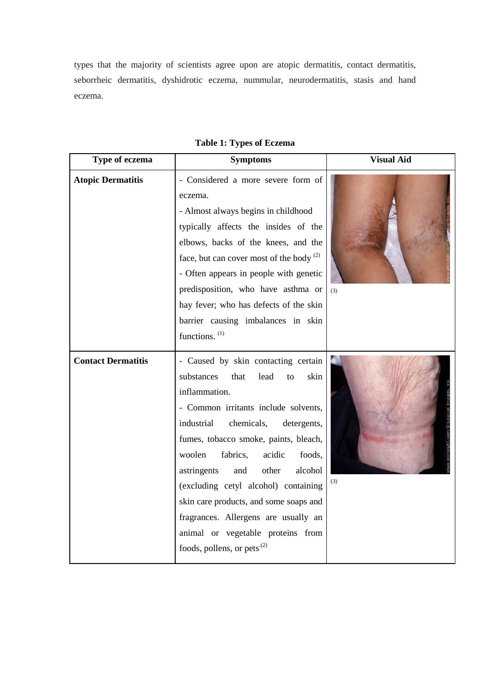types that the majority of scientists agree upon are atopic dermatitis, contact dermatitis, seborrheic dermatitis, dyshidrotic eczema, nummular, neurodermatitis, stasis and hand eczema.

| Type of eczema            | <b>Symptoms</b>                                                                                                                                                                                                                                                                                                                                                                                                                                                                                                           | <b>Visual Aid</b> |  |
|---------------------------|---------------------------------------------------------------------------------------------------------------------------------------------------------------------------------------------------------------------------------------------------------------------------------------------------------------------------------------------------------------------------------------------------------------------------------------------------------------------------------------------------------------------------|-------------------|--|
| <b>Atopic Dermatitis</b>  | - Considered a more severe form of<br>eczema.<br>- Almost always begins in childhood<br>typically affects the insides of the<br>elbows, backs of the knees, and the<br>face, but can cover most of the body $^{(2)}$<br>- Often appears in people with genetic<br>predisposition, who have asthma or<br>hay fever; who has defects of the skin<br>barrier causing imbalances in skin<br>functions. <sup>(1)</sup>                                                                                                         | (3)               |  |
| <b>Contact Dermatitis</b> | - Caused by skin contacting certain<br>substances<br>skin<br>lead<br>that<br>to<br>inflammation.<br>- Common irritants include solvents,<br>industrial<br>chemicals,<br>detergents,<br>fumes, tobacco smoke, paints, bleach,<br>woolen<br>fabrics,<br>acidic<br>foods.<br>astringents<br>other<br>alcohol<br>and<br>(excluding cetyl alcohol) containing<br>skin care products, and some soaps and<br>fragrances. Allergens are usually an<br>animal or vegetable proteins from<br>foods, pollens, or pets <sup>(2)</sup> | (3)               |  |

## **Table 1: Types of Eczema**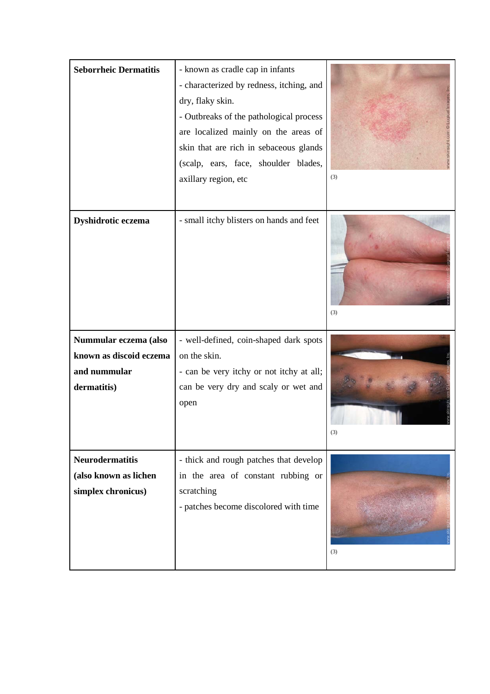| <b>Seborrheic Dermatitis</b>                                                    | - known as cradle cap in infants<br>- characterized by redness, itching, and<br>dry, flaky skin.<br>- Outbreaks of the pathological process<br>are localized mainly on the areas of<br>skin that are rich in sebaceous glands<br>(scalp, ears, face, shoulder blades,<br>axillary region, etc | (3) |
|---------------------------------------------------------------------------------|-----------------------------------------------------------------------------------------------------------------------------------------------------------------------------------------------------------------------------------------------------------------------------------------------|-----|
| Dyshidrotic eczema                                                              | - small itchy blisters on hands and feet                                                                                                                                                                                                                                                      | (3) |
| Nummular eczema (also<br>known as discoid eczema<br>and nummular<br>dermatitis) | - well-defined, coin-shaped dark spots<br>on the skin.<br>- can be very itchy or not itchy at all;<br>can be very dry and scaly or wet and<br>open                                                                                                                                            | (3) |
| <b>Neurodermatitis</b><br>(also known as lichen<br>simplex chronicus)           | - thick and rough patches that develop<br>in the area of constant rubbing or<br>scratching<br>- patches become discolored with time                                                                                                                                                           | (3) |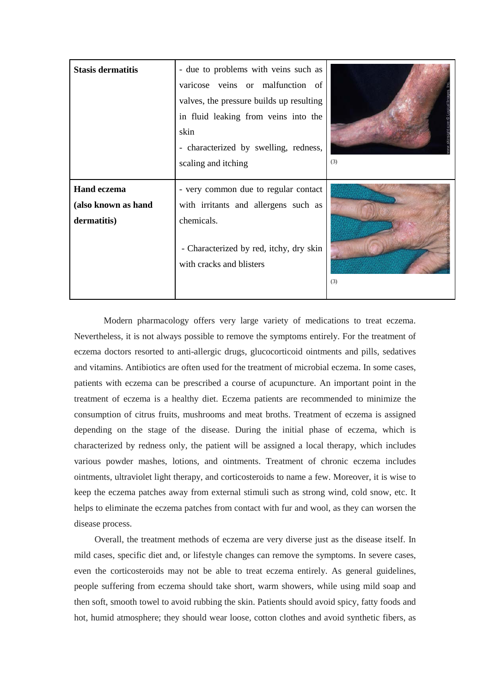| <b>Stasis dermatitis</b>                                 | - due to problems with veins such as<br>varicose veins or malfunction of<br>valves, the pressure builds up resulting<br>in fluid leaking from veins into the<br>skin<br>- characterized by swelling, redness,<br>scaling and itching | (3) |
|----------------------------------------------------------|--------------------------------------------------------------------------------------------------------------------------------------------------------------------------------------------------------------------------------------|-----|
| <b>Hand eczema</b><br>(also known as hand<br>dermatitis) | - very common due to regular contact<br>with irritants and allergens such as<br>chemicals.<br>- Characterized by red, itchy, dry skin<br>with cracks and blisters                                                                    | (3) |

Modern pharmacology offers very large variety of medications to treat eczema. Nevertheless, it is not always possible to remove the symptoms entirely. For the treatment of eczema doctors resorted to anti-allergic drugs, glucocorticoid ointments and pills, sedatives and vitamins. Antibiotics are often used for the treatment of microbial eczema. In some cases, patients with eczema can be prescribed a course of acupuncture. An important point in the treatment of eczema is a healthy diet. Eczema patients are recommended to minimize the consumption of citrus fruits, mushrooms and meat broths. Treatment of eczema is assigned depending on the stage of the disease. During the initial phase of eczema, which is characterized by redness only, the patient will be assigned a local therapy, which includes various powder mashes, lotions, and ointments. Treatment of chronic eczema includes ointments, ultraviolet light therapy, and corticosteroids to name a few. Moreover, it is wise to keep the eczema patches away from external stimuli such as strong wind, cold snow, etc. It helps to eliminate the eczema patches from contact with fur and wool, as they can worsen the disease process.

 Overall, the treatment methods of eczema are very diverse just as the disease itself. In mild cases, specific diet and, or lifestyle changes can remove the symptoms. In severe cases, even the corticosteroids may not be able to treat eczema entirely. As general guidelines, people suffering from eczema should take short, warm showers, while using mild soap and then soft, smooth towel to avoid rubbing the skin. Patients should avoid spicy, fatty foods and hot, humid atmosphere; they should wear loose, cotton clothes and avoid synthetic fibers, as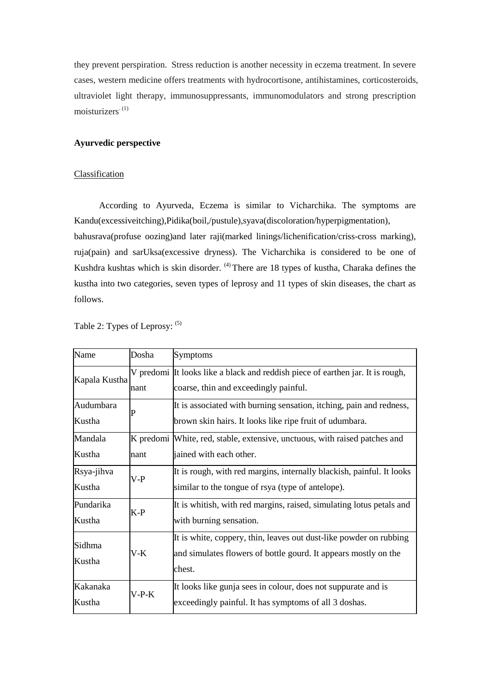they prevent perspiration. Stress reduction is another necessity in eczema treatment. In severe cases, western medicine offers treatments with hydrocortisone, antihistamines, corticosteroids, ultraviolet light therapy, immunosuppressants, immunomodulators and strong prescription moisturizers. (1)

### **Ayurvedic perspective**

#### **Classification**

 According to Ayurveda, Eczema is similar to Vicharchika. The symptoms are Kandu(excessiveitching),Pidika(boil,/pustule),syava(discoloration/hyperpigmentation), bahusrava(profuse oozing)and later raji(marked linings/lichenification/criss-cross marking), ruja(pain) and sarUksa(excessive dryness). The Vicharchika is considered to be one of Kushdra kushtas which is skin disorder. <sup>(4)</sup> There are 18 types of kustha, Charaka defines the kustha into two categories, seven types of leprosy and 11 types of skin diseases, the chart as follows.

| Name                 | Dosha   | Symptoms                                                                                                                                        |  |
|----------------------|---------|-------------------------------------------------------------------------------------------------------------------------------------------------|--|
| Kapala Kustha        | nant    | V predomi It looks like a black and reddish piece of earthen jar. It is rough,<br>coarse, thin and exceedingly painful.                         |  |
| Audumbara<br>Kustha  | P       | It is associated with burning sensation, itching, pain and redness,<br>brown skin hairs. It looks like ripe fruit of udumbara.                  |  |
| Mandala<br>Kustha    | nant    | K predomi White, red, stable, extensive, unctuous, with raised patches and<br>jained with each other.                                           |  |
| Rsya-jihva<br>Kustha | $V-P$   | It is rough, with red margins, internally blackish, painful. It looks<br>similar to the tongue of rsya (type of antelope).                      |  |
| Pundarika<br>Kustha  | K-P     | It is whitish, with red margins, raised, simulating lotus petals and<br>with burning sensation.                                                 |  |
| Sidhma<br>Kustha     | $V-K$   | It is white, coppery, thin, leaves out dust-like powder on rubbing<br>and simulates flowers of bottle gourd. It appears mostly on the<br>chest. |  |
| Kakanaka<br>Kustha   | $V-P-K$ | It looks like gunja sees in colour, does not suppurate and is<br>exceedingly painful. It has symptoms of all 3 doshas.                          |  |

Table 2: Types of Leprosy: (5)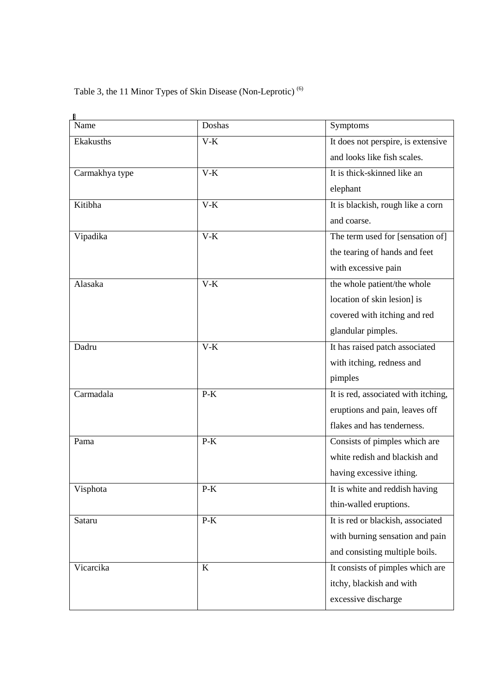# Table 3, the 11 Minor Types of Skin Disease (Non-Leprotic) (6)

| Name           | Doshas | Symptoms                            |
|----------------|--------|-------------------------------------|
| Ekakusths      | $V-K$  | It does not perspire, is extensive  |
|                |        | and looks like fish scales.         |
| Carmakhya type | $V-K$  | It is thick-skinned like an         |
|                |        | elephant                            |
| Kitibha        | $V-K$  | It is blackish, rough like a corn   |
|                |        | and coarse.                         |
| Vipadika       | $V-K$  | The term used for [sensation of]    |
|                |        | the tearing of hands and feet       |
|                |        | with excessive pain                 |
| Alasaka        | $V-K$  | the whole patient/the whole         |
|                |        | location of skin lesion] is         |
|                |        | covered with itching and red        |
|                |        | glandular pimples.                  |
| Dadru          | $V-K$  | It has raised patch associated      |
|                |        | with itching, redness and           |
|                |        | pimples                             |
| Carmadala      | $P-K$  | It is red, associated with itching, |
|                |        | eruptions and pain, leaves off      |
|                |        | flakes and has tenderness.          |
| Pama           | $P-K$  | Consists of pimples which are       |
|                |        | white redish and blackish and       |
|                |        | having excessive ithing.            |
| Visphota       | $P-K$  | It is white and reddish having      |
|                |        | thin-walled eruptions.              |
| Sataru         | $P-K$  | It is red or blackish, associated   |
|                |        | with burning sensation and pain     |
|                |        | and consisting multiple boils.      |
| Vicarcika      | K      | It consists of pimples which are    |
|                |        | itchy, blackish and with            |
|                |        | excessive discharge                 |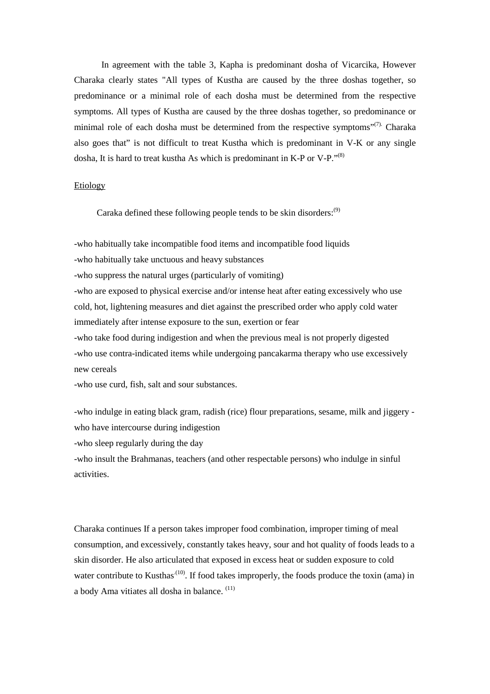In agreement with the table 3, Kapha is predominant dosha of Vicarcika, However Charaka clearly states "All types of Kustha are caused by the three doshas together, so predominance or a minimal role of each dosha must be determined from the respective symptoms. All types of Kustha are caused by the three doshas together, so predominance or minimal role of each dosha must be determined from the respective symptoms"<sup>(7)</sup>. Charaka also goes that" is not difficult to treat Kustha which is predominant in V-K or any single dosha, It is hard to treat kustha As which is predominant in K-P or V-P."<sup>(8)</sup>

#### Etiology

Caraka defined these following people tends to be skin disorders: $(9)$ 

-who habitually take incompatible food items and incompatible food liquids

-who habitually take unctuous and heavy substances

-who suppress the natural urges (particularly of vomiting)

-who are exposed to physical exercise and/or intense heat after eating excessively who use cold, hot, lightening measures and diet against the prescribed order who apply cold water immediately after intense exposure to the sun, exertion or fear

-who take food during indigestion and when the previous meal is not properly digested -who use contra-indicated items while undergoing pancakarma therapy who use excessively new cereals

-who use curd, fish, salt and sour substances.

-who indulge in eating black gram, radish (rice) flour preparations, sesame, milk and jiggery who have intercourse during indigestion

-who sleep regularly during the day

-who insult the Brahmanas, teachers (and other respectable persons) who indulge in sinful activities.

Charaka continues If a person takes improper food combination, improper timing of meal consumption, and excessively, constantly takes heavy, sour and hot quality of foods leads to a skin disorder. He also articulated that exposed in excess heat or sudden exposure to cold water contribute to Kusthas<sup>(10)</sup>. If food takes improperly, the foods produce the toxin (ama) in a body Ama vitiates all dosha in balance. (11)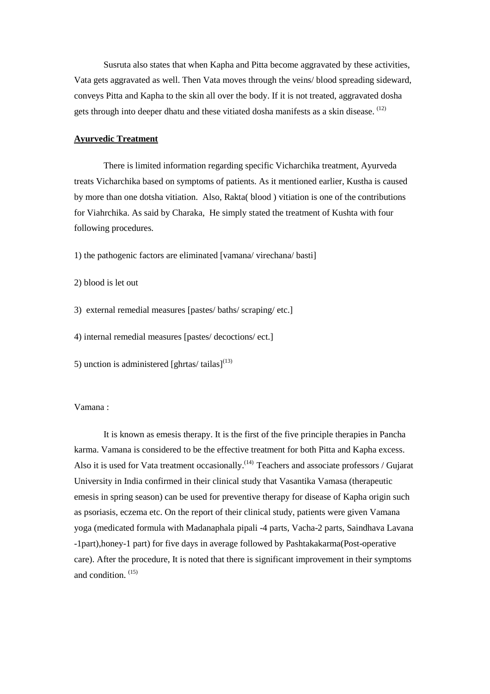Susruta also states that when Kapha and Pitta become aggravated by these activities, Vata gets aggravated as well. Then Vata moves through the veins/ blood spreading sideward, conveys Pitta and Kapha to the skin all over the body. If it is not treated, aggravated dosha gets through into deeper dhatu and these vitiated dosha manifests as a skin disease. (12)

#### **Ayurvedic Treatment**

 There is limited information regarding specific Vicharchika treatment, Ayurveda treats Vicharchika based on symptoms of patients. As it mentioned earlier, Kustha is caused by more than one dotsha vitiation. Also, Rakta( blood ) vitiation is one of the contributions for Viahrchika. As said by Charaka, He simply stated the treatment of Kushta with four following procedures.

1) the pathogenic factors are eliminated [vamana/ virechana/ basti]

2) blood is let out

3) external remedial measures [pastes/ baths/ scraping/ etc.]

4) internal remedial measures [pastes/ decoctions/ ect.]

5) unction is administered [ghrtas/ tailas] $^{(13)}$ 

#### Vamana :

 It is known as emesis therapy. It is the first of the five principle therapies in Pancha karma. Vamana is considered to be the effective treatment for both Pitta and Kapha excess. Also it is used for Vata treatment occasionally.<sup> $(14)$ </sup> Teachers and associate professors / Gujarat University in India confirmed in their clinical study that Vasantika Vamasa (therapeutic emesis in spring season) can be used for preventive therapy for disease of Kapha origin such as psoriasis, eczema etc. On the report of their clinical study, patients were given Vamana yoga (medicated formula with Madanaphala pipali -4 parts, Vacha-2 parts, Saindhava Lavana -1part),honey-1 part) for five days in average followed by Pashtakakarma(Post-operative care). After the procedure, It is noted that there is significant improvement in their symptoms and condition. (15)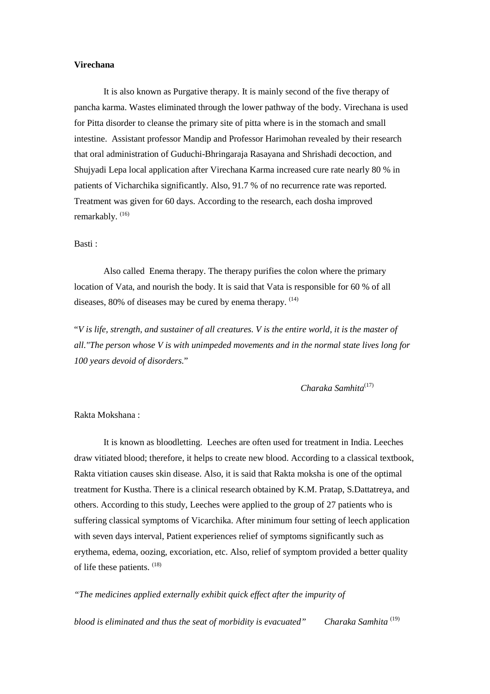#### **Virechana**

 It is also known as Purgative therapy. It is mainly second of the five therapy of pancha karma. Wastes eliminated through the lower pathway of the body. Virechana is used for Pitta disorder to cleanse the primary site of pitta where is in the stomach and small intestine. Assistant professor Mandip and Professor Harimohan revealed by their research that oral administration of Guduchi-Bhringaraja Rasayana and Shrishadi decoction, and Shujyadi Lepa local application after Virechana Karma increased cure rate nearly 80 % in patients of Vicharchika significantly. Also, 91.7 % of no recurrence rate was reported. Treatment was given for 60 days. According to the research, each dosha improved remarkably.<sup>(16)</sup>

#### Basti :

 Also called Enema therapy. The therapy purifies the colon where the primary location of Vata, and nourish the body. It is said that Vata is responsible for 60 % of all diseases,  $80\%$  of diseases may be cured by enema therapy.  $(14)$ 

"*V is life, strength, and sustainer of all creatures. V is the entire world, it is the master of all."The person whose V is with unimpeded movements and in the normal state lives long for 100 years devoid of disorders.*"

 *Charaka Samhita*(17)

#### Rakta Mokshana :

 It is known as bloodletting. Leeches are often used for treatment in India. Leeches draw vitiated blood; therefore, it helps to create new blood. According to a classical textbook, Rakta vitiation causes skin disease. Also, it is said that Rakta moksha is one of the optimal treatment for Kustha. There is a clinical research obtained by K.M. Pratap, S.Dattatreya, and others. According to this study, Leeches were applied to the group of 27 patients who is suffering classical symptoms of Vicarchika. After minimum four setting of leech application with seven days interval, Patient experiences relief of symptoms significantly such as erythema, edema, oozing, excoriation, etc. Also, relief of symptom provided a better quality of life these patients. (18)

*"The medicines applied externally exhibit quick effect after the impurity of* 

*blood is eliminated and thus the seat of morbidity is evacuated"* Charaka Samhita<sup>(19)</sup>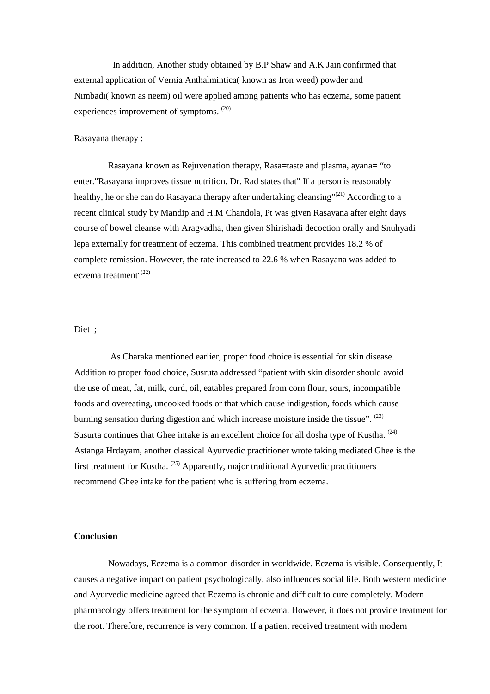In addition, Another study obtained by B.P Shaw and A.K Jain confirmed that external application of Vernia Anthalmintica( known as Iron weed) powder and Nimbadi( known as neem) oil were applied among patients who has eczema, some patient experiences improvement of symptoms. (20)

#### Rasayana therapy :

 Rasayana known as Rejuvenation therapy, Rasa=taste and plasma, ayana= "to enter."Rasayana improves tissue nutrition. Dr. Rad states that" If a person is reasonably healthy, he or she can do Rasayana therapy after undertaking cleansing"<sup>(21)</sup> According to a recent clinical study by Mandip and H.M Chandola, Pt was given Rasayana after eight days course of bowel cleanse with Aragvadha, then given Shirishadi decoction orally and Snuhyadi lepa externally for treatment of eczema. This combined treatment provides 18.2 % of complete remission. However, the rate increased to 22.6 % when Rasayana was added to eczema treatment<sup>. (22)</sup>

#### Diet ;

 As Charaka mentioned earlier, proper food choice is essential for skin disease. Addition to proper food choice, Susruta addressed "patient with skin disorder should avoid the use of meat, fat, milk, curd, oil, eatables prepared from corn flour, sours, incompatible foods and overeating, uncooked foods or that which cause indigestion, foods which cause burning sensation during digestion and which increase moisture inside the tissue".  $^{(23)}$ Susurta continues that Ghee intake is an excellent choice for all dosha type of Kustha.  $(24)$ Astanga Hrdayam, another classical Ayurvedic practitioner wrote taking mediated Ghee is the first treatment for Kustha.  $^{(25)}$  Apparently, major traditional Ayurvedic practitioners recommend Ghee intake for the patient who is suffering from eczema.

#### **Conclusion**

 Nowadays, Eczema is a common disorder in worldwide. Eczema is visible. Consequently, It causes a negative impact on patient psychologically, also influences social life. Both western medicine and Ayurvedic medicine agreed that Eczema is chronic and difficult to cure completely. Modern pharmacology offers treatment for the symptom of eczema. However, it does not provide treatment for the root. Therefore, recurrence is very common. If a patient received treatment with modern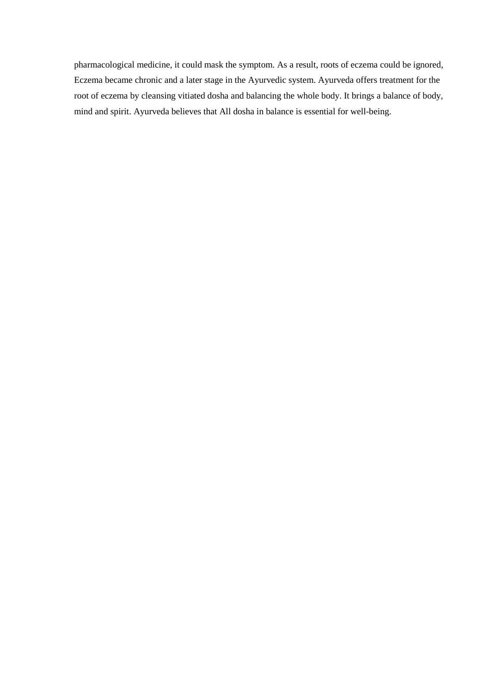pharmacological medicine, it could mask the symptom. As a result, roots of eczema could be ignored, Eczema became chronic and a later stage in the Ayurvedic system. Ayurveda offers treatment for the root of eczema by cleansing vitiated dosha and balancing the whole body. It brings a balance of body, mind and spirit. Ayurveda believes that All dosha in balance is essential for well-being.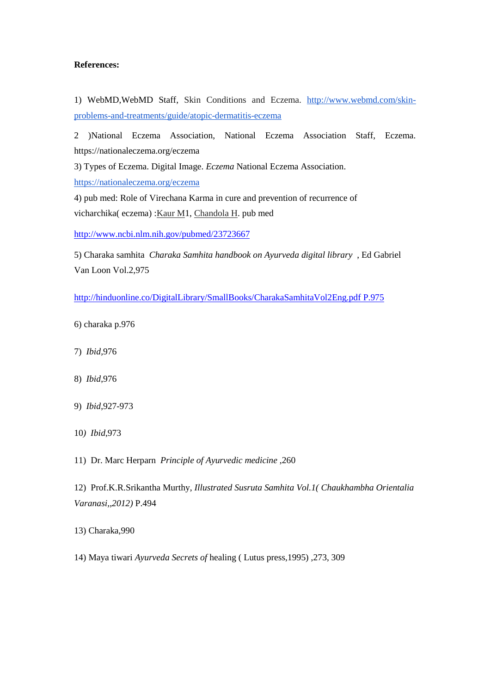#### **References:**

1) WebMD,WebMD Staff, Skin Conditions and Eczema. [http://www.webmd.com/skin](http://www.webmd.com/skin-problems-and-treatments/guide/atopic-dermatitis-eczema)[problems-and-treatments/guide/atopic-dermatitis-eczema](http://www.webmd.com/skin-problems-and-treatments/guide/atopic-dermatitis-eczema)

2 )National Eczema Association, National Eczema Association Staff, Eczema. https://nationaleczema.org/eczema

3) Types of Eczema. Digital Image. *Eczema* National Eczema Association.

<https://nationaleczema.org/eczema>

4) pub med: Role of Virechana Karma in cure and prevention of recurrence of vicharchika( eczema) [:Kaur M1](http://www.ncbi.nlm.nih.gov/pubmed/?term=Kaur%20M%5BAuthor%5D&cauthor=true&cauthor_uid=23723667)[, Chandola H.](http://www.ncbi.nlm.nih.gov/pubmed/?term=Chandola%20H%5BAuthor%5D&cauthor=true&cauthor_uid=23723667) pub med

<http://www.ncbi.nlm.nih.gov/pubmed/23723667>

5) Charaka samhita *Charaka Samhita handbook on Ayurveda digital library* , Ed Gabriel Van Loon Vol.2,975

[http://hinduonline.co/DigitalLibrary/SmallBooks/CharakaSamhitaVol2Eng.pdf P.975](http://hinduonline.co/DigitalLibrary/SmallBooks/CharakaSamhitaVol2Eng.pdf%20P.975)

- 6) charaka p.976
- 7) *Ibid,*976
- 8) *Ibid*,976
- 9) *Ibid*,927-973
- 10*) Ibid*,973

11) Dr. Marc Herparn *Principle of Ayurvedic medicine* ,260

12) Prof.K.R.Srikantha Murthy, *Illustrated Susruta Samhita Vol.1( Chaukhambha Orientalia Varanasi,,2012)* P.494

13) Charaka,990

14) Maya tiwari *Ayurveda Secrets of* healing ( Lutus press,1995) ,273, 309